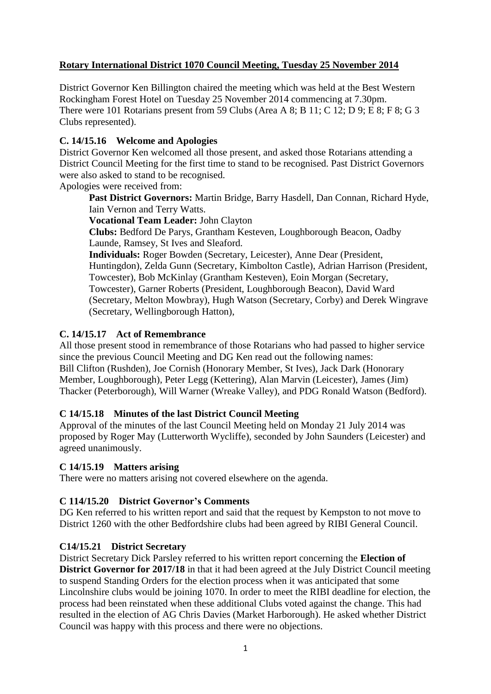# **Rotary International District 1070 Council Meeting, Tuesday 25 November 2014**

District Governor Ken Billington chaired the meeting which was held at the Best Western Rockingham Forest Hotel on Tuesday 25 November 2014 commencing at 7.30pm. There were 101 Rotarians present from 59 Clubs (Area A 8; B 11; C 12; D 9; E 8; F 8; G 3 Clubs represented).

## **C. 14/15.16 Welcome and Apologies**

District Governor Ken welcomed all those present, and asked those Rotarians attending a District Council Meeting for the first time to stand to be recognised. Past District Governors were also asked to stand to be recognised.

Apologies were received from:

**Past District Governors:** Martin Bridge, Barry Hasdell, Dan Connan, Richard Hyde, Iain Vernon and Terry Watts.

**Vocational Team Leader:** John Clayton

**Clubs:** Bedford De Parys, Grantham Kesteven, Loughborough Beacon, Oadby Launde, Ramsey, St Ives and Sleaford.

**Individuals:** Roger Bowden (Secretary, Leicester), Anne Dear (President, Huntingdon), Zelda Gunn (Secretary, Kimbolton Castle), Adrian Harrison (President, Towcester), Bob McKinlay (Grantham Kesteven), Eoin Morgan (Secretary, Towcester), Garner Roberts (President, Loughborough Beacon), David Ward (Secretary, Melton Mowbray), Hugh Watson (Secretary, Corby) and Derek Wingrave (Secretary, Wellingborough Hatton),

## **C. 14/15.17 Act of Remembrance**

All those present stood in remembrance of those Rotarians who had passed to higher service since the previous Council Meeting and DG Ken read out the following names: Bill Clifton (Rushden), Joe Cornish (Honorary Member, St Ives), Jack Dark (Honorary Member, Loughborough), Peter Legg (Kettering), Alan Marvin (Leicester), James (Jim) Thacker (Peterborough), Will Warner (Wreake Valley), and PDG Ronald Watson (Bedford).

### **C 14/15.18 Minutes of the last District Council Meeting**

Approval of the minutes of the last Council Meeting held on Monday 21 July 2014 was proposed by Roger May (Lutterworth Wycliffe), seconded by John Saunders (Leicester) and agreed unanimously.

### **C 14/15.19 Matters arising**

There were no matters arising not covered elsewhere on the agenda.

## **C 114/15.20 District Governor's Comments**

DG Ken referred to his written report and said that the request by Kempston to not move to District 1260 with the other Bedfordshire clubs had been agreed by RIBI General Council.

### **C14/15.21 District Secretary**

District Secretary Dick Parsley referred to his written report concerning the **Election of District Governor for 2017/18** in that it had been agreed at the July District Council meeting to suspend Standing Orders for the election process when it was anticipated that some Lincolnshire clubs would be joining 1070. In order to meet the RIBI deadline for election, the process had been reinstated when these additional Clubs voted against the change. This had resulted in the election of AG Chris Davies (Market Harborough). He asked whether District Council was happy with this process and there were no objections.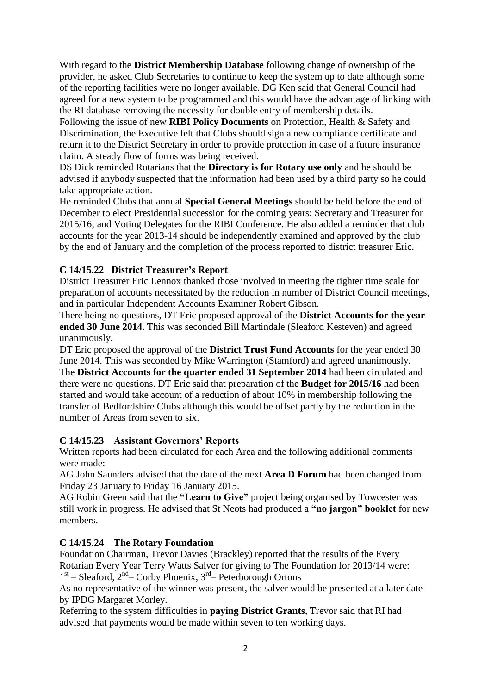With regard to the **District Membership Database** following change of ownership of the provider, he asked Club Secretaries to continue to keep the system up to date although some of the reporting facilities were no longer available. DG Ken said that General Council had agreed for a new system to be programmed and this would have the advantage of linking with the RI database removing the necessity for double entry of membership details.

Following the issue of new **RIBI Policy Documents** on Protection, Health & Safety and Discrimination, the Executive felt that Clubs should sign a new compliance certificate and return it to the District Secretary in order to provide protection in case of a future insurance claim. A steady flow of forms was being received.

DS Dick reminded Rotarians that the **Directory is for Rotary use only** and he should be advised if anybody suspected that the information had been used by a third party so he could take appropriate action.

He reminded Clubs that annual **Special General Meetings** should be held before the end of December to elect Presidential succession for the coming years; Secretary and Treasurer for 2015/16; and Voting Delegates for the RIBI Conference. He also added a reminder that club accounts for the year 2013-14 should be independently examined and approved by the club by the end of January and the completion of the process reported to district treasurer Eric.

# **C 14/15.22 District Treasurer's Report**

District Treasurer Eric Lennox thanked those involved in meeting the tighter time scale for preparation of accounts necessitated by the reduction in number of District Council meetings, and in particular Independent Accounts Examiner Robert Gibson.

There being no questions, DT Eric proposed approval of the **District Accounts for the year ended 30 June 2014**. This was seconded Bill Martindale (Sleaford Kesteven) and agreed unanimously.

DT Eric proposed the approval of the **District Trust Fund Accounts** for the year ended 30 June 2014. This was seconded by Mike Warrington (Stamford) and agreed unanimously. The **District Accounts for the quarter ended 31 September 2014** had been circulated and there were no questions. DT Eric said that preparation of the **Budget for 2015/16** had been started and would take account of a reduction of about 10% in membership following the transfer of Bedfordshire Clubs although this would be offset partly by the reduction in the number of Areas from seven to six.

# **C 14/15.23 Assistant Governors' Reports**

Written reports had been circulated for each Area and the following additional comments were made:

AG John Saunders advised that the date of the next **Area D Forum** had been changed from Friday 23 January to Friday 16 January 2015.

AG Robin Green said that the **"Learn to Give"** project being organised by Towcester was still work in progress. He advised that St Neots had produced a **"no jargon" booklet** for new members.

# **C 14/15.24 The Rotary Foundation**

Foundation Chairman, Trevor Davies (Brackley) reported that the results of the Every Rotarian Every Year Terry Watts Salver for giving to The Foundation for 2013/14 were: 1<sup>st</sup> – Sleaford, 2<sup>nd</sup> – Corby Phoenix, 3<sup>rd</sup> – Peterborough Ortons

As no representative of the winner was present, the salver would be presented at a later date

by IPDG Margaret Morley.

Referring to the system difficulties in **paying District Grants**, Trevor said that RI had advised that payments would be made within seven to ten working days.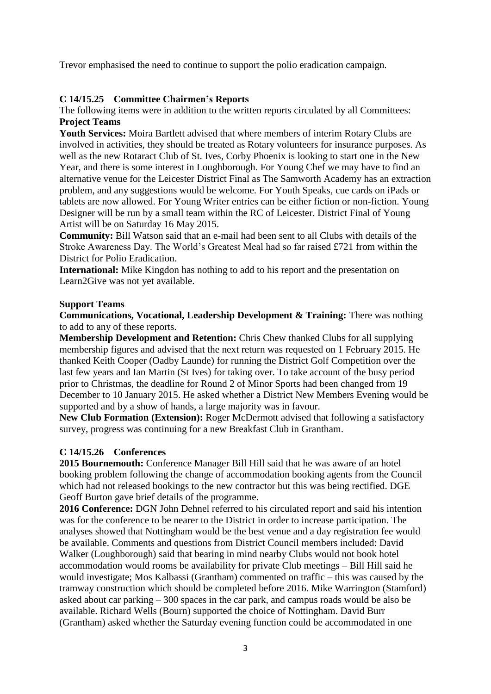Trevor emphasised the need to continue to support the polio eradication campaign.

## **C 14/15.25 Committee Chairmen's Reports**

The following items were in addition to the written reports circulated by all Committees: **Project Teams**

**Youth Services:** Moira Bartlett advised that where members of interim Rotary Clubs are involved in activities, they should be treated as Rotary volunteers for insurance purposes. As well as the new Rotaract Club of St. Ives, Corby Phoenix is looking to start one in the New Year, and there is some interest in Loughborough. For Young Chef we may have to find an alternative venue for the Leicester District Final as The Samworth Academy has an extraction problem, and any suggestions would be welcome. For Youth Speaks, cue cards on iPads or tablets are now allowed. For Young Writer entries can be either fiction or non-fiction. Young Designer will be run by a small team within the RC of Leicester. District Final of Young Artist will be on Saturday 16 May 2015.

**Community:** Bill Watson said that an e-mail had been sent to all Clubs with details of the Stroke Awareness Day. The World's Greatest Meal had so far raised £721 from within the District for Polio Eradication.

**International:** Mike Kingdon has nothing to add to his report and the presentation on Learn2Give was not yet available.

### **Support Teams**

**Communications, Vocational, Leadership Development & Training:** There was nothing to add to any of these reports.

**Membership Development and Retention:** Chris Chew thanked Clubs for all supplying membership figures and advised that the next return was requested on 1 February 2015. He thanked Keith Cooper (Oadby Launde) for running the District Golf Competition over the last few years and Ian Martin (St Ives) for taking over. To take account of the busy period prior to Christmas, the deadline for Round 2 of Minor Sports had been changed from 19 December to 10 January 2015. He asked whether a District New Members Evening would be supported and by a show of hands, a large majority was in favour.

**New Club Formation (Extension):** Roger McDermott advised that following a satisfactory survey, progress was continuing for a new Breakfast Club in Grantham.

## **C 14/15.26 Conferences**

**2015 Bournemouth:** Conference Manager Bill Hill said that he was aware of an hotel booking problem following the change of accommodation booking agents from the Council which had not released bookings to the new contractor but this was being rectified. DGE Geoff Burton gave brief details of the programme.

**2016 Conference:** DGN John Dehnel referred to his circulated report and said his intention was for the conference to be nearer to the District in order to increase participation. The analyses showed that Nottingham would be the best venue and a day registration fee would be available. Comments and questions from District Council members included: David Walker (Loughborough) said that bearing in mind nearby Clubs would not book hotel accommodation would rooms be availability for private Club meetings – Bill Hill said he would investigate; Mos Kalbassi (Grantham) commented on traffic – this was caused by the tramway construction which should be completed before 2016. Mike Warrington (Stamford) asked about car parking – 300 spaces in the car park, and campus roads would be also be available. Richard Wells (Bourn) supported the choice of Nottingham. David Burr (Grantham) asked whether the Saturday evening function could be accommodated in one